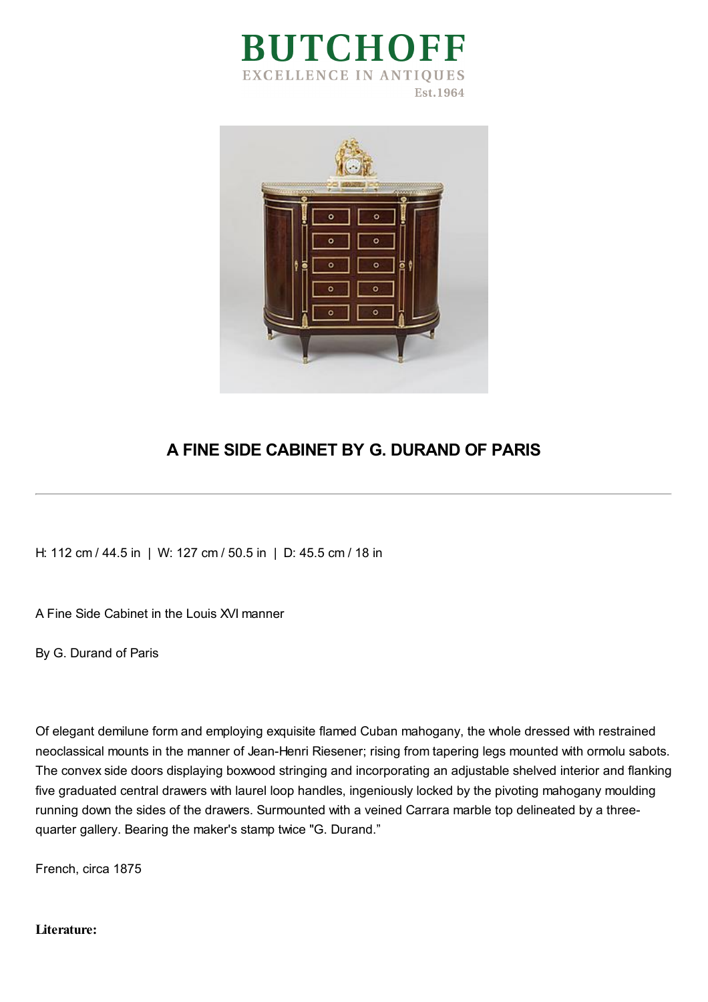



## **A FINE SIDE CABINET BY G. DURAND OF PARIS**

H: 112 cm / 44.5 in | W: 127 cm / 50.5 in | D: 45.5 cm / 18 in

A Fine Side Cabinet in the Louis XVI manner

By G. Durand of Paris

Of elegant demilune form and employing exquisite flamed Cuban mahogany, the whole dressed with restrained neoclassical mounts in the manner of Jean-Henri Riesener; rising from tapering legs mounted with ormolu sabots. The convex side doors displaying boxwood stringing and incorporating an adjustable shelved interior and flanking five graduated central drawers with laurel loop handles, ingeniously locked by the pivoting mahogany moulding running down the sides of the drawers. Surmounted with a veined Carrara marble top delineated by a threequarter gallery. Bearing the maker's stamp twice "G. Durand."

French, circa 1875

## **Literature:**